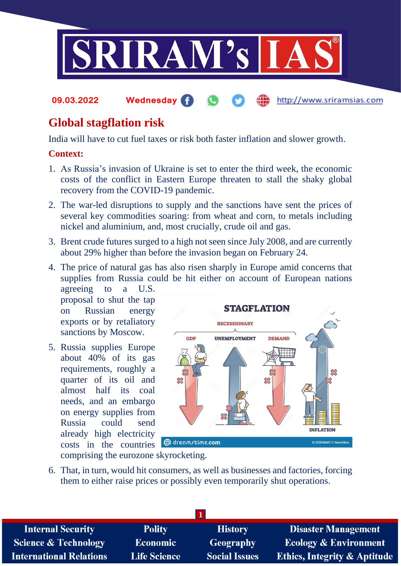

#### **09.03.2022 Wednesday** http://www.sriramsias.com

# **Global stagflation risk**

India will have to cut fuel taxes or risk both faster inflation and slower growth.

### **Context:**

- 1. As Russia's invasion of Ukraine is set to enter the third week, the economic costs of the conflict in Eastern Europe threaten to stall the shaky global recovery from the COVID-19 pandemic.
- 2. The war-led disruptions to supply and the sanctions have sent the prices of several key commodities soaring: from wheat and corn, to metals including nickel and aluminium, and, most crucially, crude oil and gas.
- 3. Brent crude futures surged to a high not seen since July 2008, and are currently about 29% higher than before the invasion began on February 24.
- 4. The price of natural gas has also risen sharply in Europe amid concerns that supplies from Russia could be hit either on account of European nations

agreeing to a U.S. proposal to shut the tap on Russian energy exports or by retaliatory sanctions by Moscow.

5. Russia supplies Europe about 40% of its gas requirements, roughly a quarter of its oil and almost half its coal needs, and an embargo on energy supplies from Russia could send already high electricity costs in the countries



comprising the eurozone skyrocketing.

6. That, in turn, would hit consumers, as well as businesses and factories, forcing them to either raise prices or possibly even temporarily shut operations.

| <b>Internal Security</b>        | <b>Polity</b>       | <b>History</b>       | <b>Disaster Management</b>              |  |  |
|---------------------------------|---------------------|----------------------|-----------------------------------------|--|--|
| <b>Science &amp; Technology</b> | <b>Economic</b>     | <b>Geography</b>     | <b>Ecology &amp; Environment</b>        |  |  |
| <b>International Relations</b>  | <b>Life Science</b> | <b>Social Issues</b> | <b>Ethics, Integrity &amp; Aptitude</b> |  |  |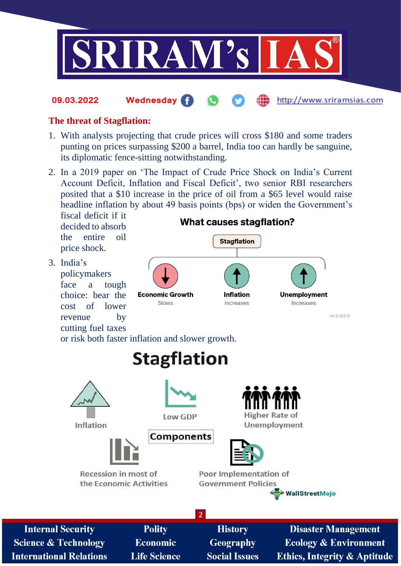

#### http://www.sriramsias.com **09.03.2022 Wednesday**

### **The threat of Stagflation:**

- 1. With analysts projecting that crude prices will cross \$180 and some traders punting on prices surpassing \$200 a barrel, India too can hardly be sanguine, its diplomatic fence-sitting notwithstanding.
- 2. In a 2019 paper on 'The Impact of Crude Price Shock on India's Current Account Deficit, Inflation and Fiscal Deficit', two senior RBI researchers posited that a \$10 increase in the price of oil from a \$65 level would raise headline inflation by about 49 basis points (bps) or widen the Government's

fiscal deficit if it decided to absorb the entire oil price shock.

3. India's policymakers face a tough choice: bear the cost of lower revenue by cutting fuel taxes

### **What causes stagflation? Stagflation Economic Growth** Inflation **Unemployment** Increases Increases Slows INSIDER

or risk both faster inflation and slower growth.



**Science & Technology International Relations**  **Life Science** 

**Social Issues** 

**Ethics, Integrity & Aptitude**